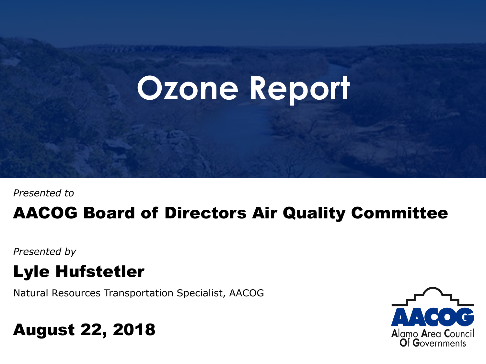# **Ozone Report**

*Presented to*

#### AACOG Board of Directors Air Quality Committee

*Presented by*

#### Lyle Hufstetler

Natural Resources Transportation Specialist, AACOG

#### August 22, 2018

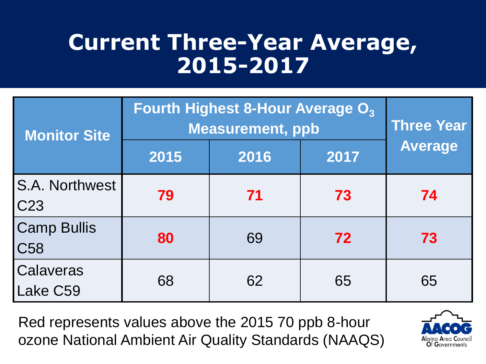### **Current Three-Year Average, 2015-2017**

| <b>Monitor Site</b>                      | <b>Fourth Highest 8-Hour Average O<sub>3</sub></b><br><b>Measurement, ppb</b> | <b>Three Year</b> |      |                |
|------------------------------------------|-------------------------------------------------------------------------------|-------------------|------|----------------|
|                                          | 2015                                                                          | 2016              | 2017 | <b>Average</b> |
| <b>S.A. Northwest</b><br>C <sub>23</sub> | 79                                                                            | 71                | 73   | 74             |
| <b>Camp Bullis</b><br>C <sub>58</sub>    | 80                                                                            | 69                | 72   | 73             |
| Calaveras<br>Lake C59                    | 68                                                                            | 62                | 65   | 65             |

Red represents values above the 2015 70 ppb 8-hour ozone National Ambient Air Quality Standards (NAAQS)

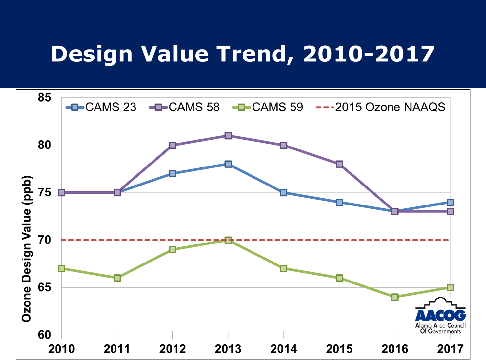### **Design Value Trend, 2010-2017**

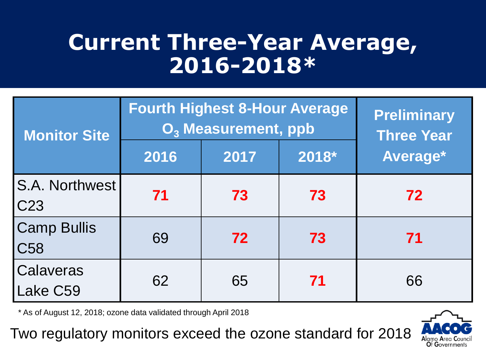### **Current Three-Year Average, 2016-2018\***

| <b>Monitor Site</b>                   | <b>Fourth Highest 8-Hour Average</b><br>O <sub>3</sub> Measurement, ppb | <b>Preliminary</b><br><b>Three Year</b> |       |          |
|---------------------------------------|-------------------------------------------------------------------------|-----------------------------------------|-------|----------|
|                                       | 2016                                                                    | 2017                                    | 2018* | Average* |
| S.A. Northwest<br>C <sub>23</sub>     | 71                                                                      | 73                                      | 73    | 72       |
| <b>Camp Bullis</b><br>C <sub>58</sub> | 69                                                                      | 72                                      | 73    | 71       |
| Calaveras<br>Lake C59                 | 62                                                                      | 65                                      | 71    | 66       |

\* As of August 12, 2018; ozone data validated through April 2018

Two regulatory monitors exceed the ozone standard for 2018

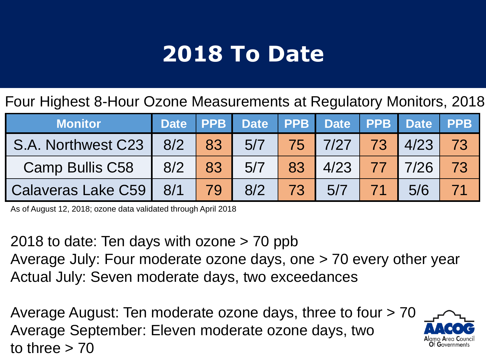## **2018 To Date**

Four Highest 8-Hour Ozone Measurements at Regulatory Monitors, 2018

| <b>Monitor</b>                                              | Date PPB |     | Date PPB Date PPB Date PPB |    |                       |                    |     |    |
|-------------------------------------------------------------|----------|-----|----------------------------|----|-----------------------|--------------------|-----|----|
| S.A. Northwest C23   8/2   83   5/7   75   7/27   73   4/23 |          |     |                            |    |                       |                    |     | 73 |
| <b>Camp Bullis C58</b>                                      | 8/2 83   |     | 5/7                        |    | 83   4/23   77   7/26 |                    |     | 73 |
| Calaveras Lake C59   8/1                                    |          | 179 | 8/2                        | 73 | 5/7                   | $\vert$ 71 $\vert$ | 5/6 |    |

As of August 12, 2018; ozone data validated through April 2018

2018 to date: Ten days with ozone > 70 ppb Average July: Four moderate ozone days, one > 70 every other year Actual July: Seven moderate days, two exceedances

Average August: Ten moderate ozone days, three to four > 70 Average September: Eleven moderate ozone days, two to three  $> 70$ 

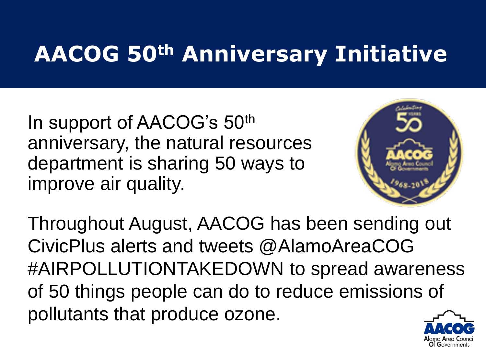# **AACOG 50th Anniversary Initiative**

In support of AACOG's 50th anniversary, the natural resources department is sharing 50 ways to improve air quality.



Throughout August, AACOG has been sending out CivicPlus alerts and tweets @AlamoAreaCOG #AIRPOLLUTIONTAKEDOWN to spread awareness of 50 things people can do to reduce emissions of pollutants that produce ozone.